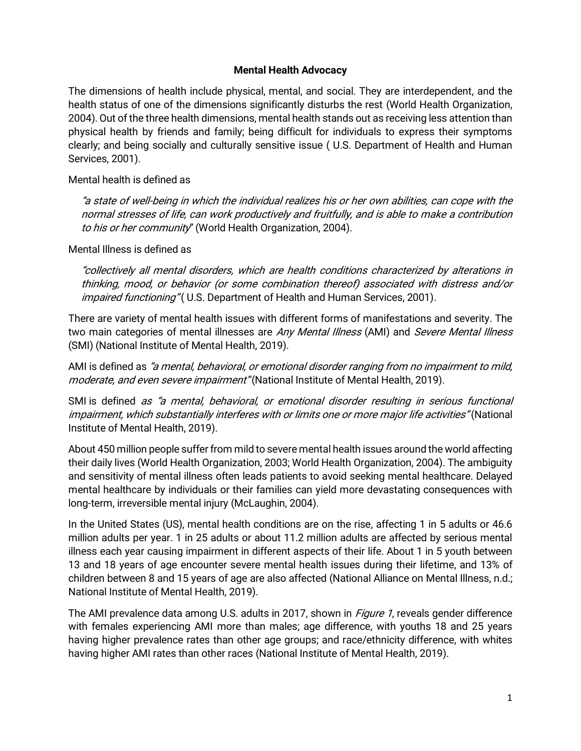#### Mental Health Advocacy

The dimensions of health include physical, mental, and social. They are interdependent, and the health status of one of the dimensions significantly disturbs the rest (World Health Organization, 2004). Out of the three health dimensions, mental health stands out as receiving less attention than physical health by friends and family; being difficult for individuals to express their symptoms clearly; and being socially and culturally sensitive issue ( U.S. Department of Health and Human Services, 2001).

Mental health is defined as

"a state of well-being in which the individual realizes his or her own abilities, can cope with the normal stresses of life, can work productively and fruitfully, and is able to make a contribution to his or her community" (World Health Organization, 2004).

Mental Illness is defined as

"collectively all mental disorders, which are health conditions characterized by alterations in thinking, mood, or behavior (or some combination thereof) associated with distress and/or impaired functioning" (U.S. Department of Health and Human Services, 2001).

There are variety of mental health issues with different forms of manifestations and severity. The two main categories of mental illnesses are Any Mental Illness (AMI) and Severe Mental Illness (SMI) (National Institute of Mental Health, 2019).

AMI is defined as "a mental, behavioral, or emotional disorder ranging from no impairment to mild, moderate, and even severe impairment" (National Institute of Mental Health, 2019).

SMI is defined as "a mental, behavioral, or emotional disorder resulting in serious functional impairment, which substantially interferes with or limits one or more major life activities" (National Institute of Mental Health, 2019).

About 450 million people suffer from mild to severe mental health issues around the world affecting their daily lives (World Health Organization, 2003; World Health Organization, 2004). The ambiguity and sensitivity of mental illness often leads patients to avoid seeking mental healthcare. Delayed mental healthcare by individuals or their families can yield more devastating consequences with long-term, irreversible mental injury (McLaughin, 2004).

In the United States (US), mental health conditions are on the rise, affecting 1 in 5 adults or 46.6 million adults per year. 1 in 25 adults or about 11.2 million adults are affected by serious mental illness each year causing impairment in different aspects of their life. About 1 in 5 youth between 13 and 18 years of age encounter severe mental health issues during their lifetime, and 13% of children between 8 and 15 years of age are also affected (National Alliance on Mental Illness, n.d.; National Institute of Mental Health, 2019).

The AMI prevalence data among U.S. adults in 2017, shown in *Figure 1*, reveals gender difference with females experiencing AMI more than males; age difference, with youths 18 and 25 years having higher prevalence rates than other age groups; and race/ethnicity difference, with whites having higher AMI rates than other races (National Institute of Mental Health, 2019).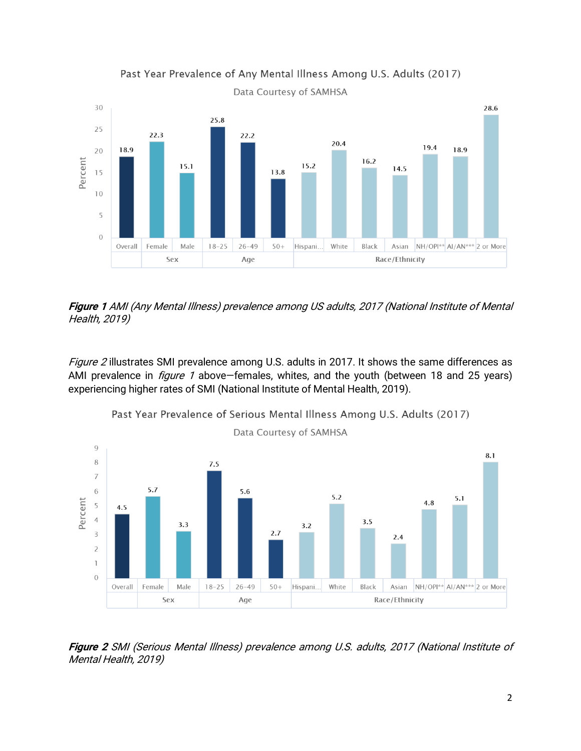

Past Year Prevalence of Any Mental Illness Among U.S. Adults (2017)

Data Courtesy of SAMHSA

Figure 1 AMI (Any Mental Illness) prevalence among US adults, 2017 (National Institute of Mental Health, 2019)

Figure 2 illustrates SMI prevalence among U.S. adults in 2017. It shows the same differences as AMI prevalence in *figure 1* above–females, whites, and the youth (between 18 and 25 years) experiencing higher rates of SMI (National Institute of Mental Health, 2019).





Figure 2 SMI (Serious Mental Illness) prevalence among U.S. adults, 2017 (National Institute of Mental Health, 2019)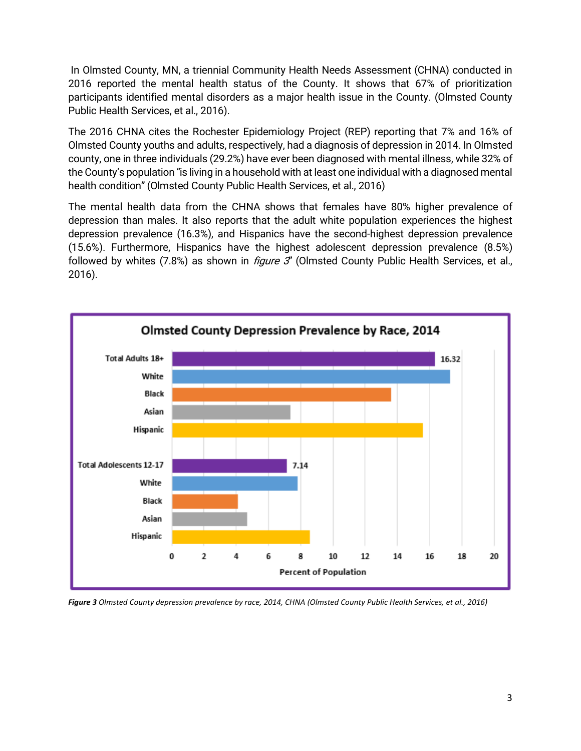In Olmsted County, MN, a triennial Community Health Needs Assessment (CHNA) conducted in 2016 reported the mental health status of the County. It shows that 67% of prioritization participants identified mental disorders as a major health issue in the County. (Olmsted County Public Health Services, et al., 2016).

The 2016 CHNA cites the Rochester Epidemiology Project (REP) reporting that 7% and 16% of Olmsted County youths and adults, respectively, had a diagnosis of depression in 2014. In Olmsted county, one in three individuals (29.2%) have ever been diagnosed with mental illness, while 32% of the County's population "is living in a household with at least one individual with a diagnosed mental health condition" (Olmsted County Public Health Services, et al., 2016)

The mental health data from the CHNA shows that females have 80% higher prevalence of depression than males. It also reports that the adult white population experiences the highest depression prevalence (16.3%), and Hispanics have the second-highest depression prevalence (15.6%). Furthermore, Hispanics have the highest adolescent depression prevalence (8.5%) followed by whites  $(7.8%)$  as shown in *figure 3*" (Olmsted County Public Health Services, et al., 2016).



*Figure 3 Olmsted County depression prevalence by race, 2014, CHNA (Olmsted County Public Health Services, et al., 2016)*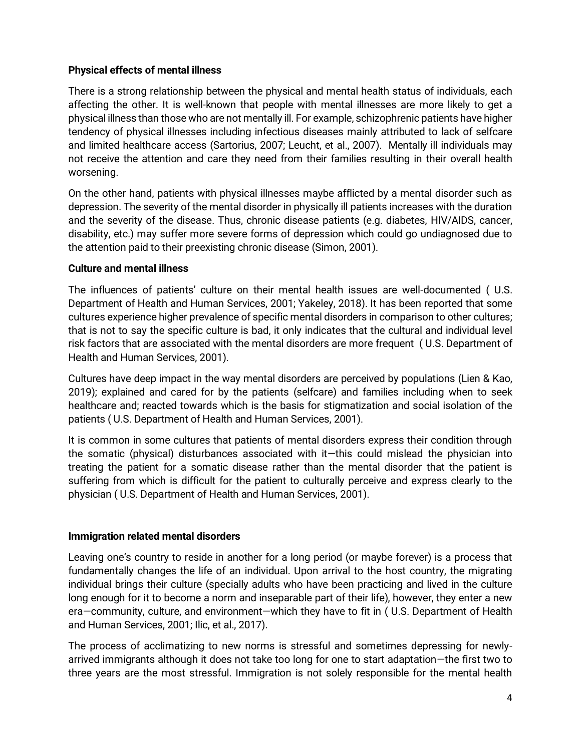### Physical effects of mental illness

There is a strong relationship between the physical and mental health status of individuals, each affecting the other. It is well-known that people with mental illnesses are more likely to get a physical illness than those who are not mentally ill. For example, schizophrenic patients have higher tendency of physical illnesses including infectious diseases mainly attributed to lack of selfcare and limited healthcare access (Sartorius, 2007; Leucht, et al., 2007). Mentally ill individuals may not receive the attention and care they need from their families resulting in their overall health worsening.

On the other hand, patients with physical illnesses maybe afflicted by a mental disorder such as depression. The severity of the mental disorder in physically ill patients increases with the duration and the severity of the disease. Thus, chronic disease patients (e.g. diabetes, HIV/AIDS, cancer, disability, etc.) may suffer more severe forms of depression which could go undiagnosed due to the attention paid to their preexisting chronic disease (Simon, 2001).

#### Culture and mental illness

The influences of patients' culture on their mental health issues are well-documented ( U.S. Department of Health and Human Services, 2001; Yakeley, 2018). It has been reported that some cultures experience higher prevalence of specific mental disorders in comparison to other cultures; that is not to say the specific culture is bad, it only indicates that the cultural and individual level risk factors that are associated with the mental disorders are more frequent ( U.S. Department of Health and Human Services, 2001).

Cultures have deep impact in the way mental disorders are perceived by populations (Lien & Kao, 2019); explained and cared for by the patients (selfcare) and families including when to seek healthcare and; reacted towards which is the basis for stigmatization and social isolation of the patients ( U.S. Department of Health and Human Services, 2001).

It is common in some cultures that patients of mental disorders express their condition through the somatic (physical) disturbances associated with it—this could mislead the physician into treating the patient for a somatic disease rather than the mental disorder that the patient is suffering from which is difficult for the patient to culturally perceive and express clearly to the physician ( U.S. Department of Health and Human Services, 2001).

#### Immigration related mental disorders

Leaving one's country to reside in another for a long period (or maybe forever) is a process that fundamentally changes the life of an individual. Upon arrival to the host country, the migrating individual brings their culture (specially adults who have been practicing and lived in the culture long enough for it to become a norm and inseparable part of their life), however, they enter a new era—community, culture, and environment—which they have to fit in ( U.S. Department of Health and Human Services, 2001; Ilic, et al., 2017).

The process of acclimatizing to new norms is stressful and sometimes depressing for newlyarrived immigrants although it does not take too long for one to start adaptation—the first two to three years are the most stressful. Immigration is not solely responsible for the mental health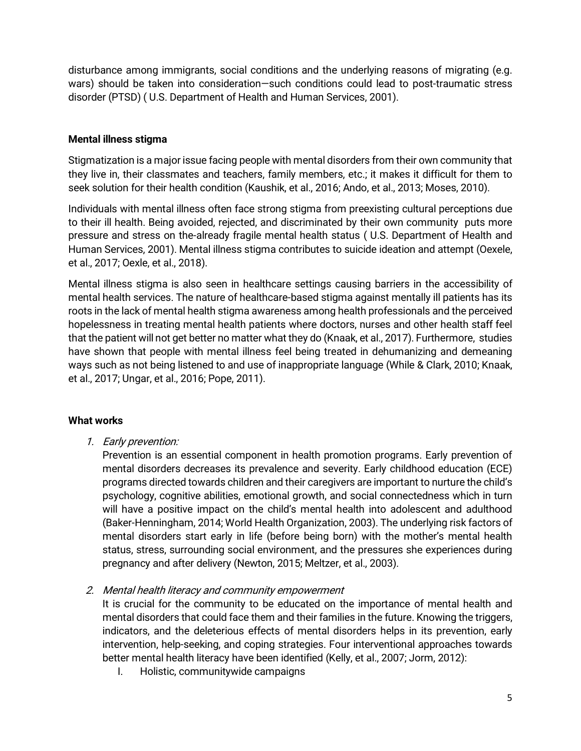disturbance among immigrants, social conditions and the underlying reasons of migrating (e.g. wars) should be taken into consideration—such conditions could lead to post-traumatic stress disorder (PTSD) ( U.S. Department of Health and Human Services, 2001).

### Mental illness stigma

Stigmatization is a major issue facing people with mental disorders from their own community that they live in, their classmates and teachers, family members, etc.; it makes it difficult for them to seek solution for their health condition (Kaushik, et al., 2016; Ando, et al., 2013; Moses, 2010).

Individuals with mental illness often face strong stigma from preexisting cultural perceptions due to their ill health. Being avoided, rejected, and discriminated by their own community puts more pressure and stress on the-already fragile mental health status ( U.S. Department of Health and Human Services, 2001). Mental illness stigma contributes to suicide ideation and attempt (Oexele, et al., 2017; Oexle, et al., 2018).

Mental illness stigma is also seen in healthcare settings causing barriers in the accessibility of mental health services. The nature of healthcare-based stigma against mentally ill patients has its roots in the lack of mental health stigma awareness among health professionals and the perceived hopelessness in treating mental health patients where doctors, nurses and other health staff feel that the patient will not get better no matter what they do (Knaak, et al., 2017). Furthermore, studies have shown that people with mental illness feel being treated in dehumanizing and demeaning ways such as not being listened to and use of inappropriate language (While & Clark, 2010; Knaak, et al., 2017; Ungar, et al., 2016; Pope, 2011).

## What works

1. Early prevention:

Prevention is an essential component in health promotion programs. Early prevention of mental disorders decreases its prevalence and severity. Early childhood education (ECE) programs directed towards children and their caregivers are important to nurture the child's psychology, cognitive abilities, emotional growth, and social connectedness which in turn will have a positive impact on the child's mental health into adolescent and adulthood (Baker-Henningham, 2014; World Health Organization, 2003). The underlying risk factors of mental disorders start early in life (before being born) with the mother's mental health status, stress, surrounding social environment, and the pressures she experiences during pregnancy and after delivery (Newton, 2015; Meltzer, et al., 2003).

2. Mental health literacy and community empowerment

It is crucial for the community to be educated on the importance of mental health and mental disorders that could face them and their families in the future. Knowing the triggers, indicators, and the deleterious effects of mental disorders helps in its prevention, early intervention, help-seeking, and coping strategies. Four interventional approaches towards better mental health literacy have been identified (Kelly, et al., 2007; Jorm, 2012):

I. Holistic, communitywide campaigns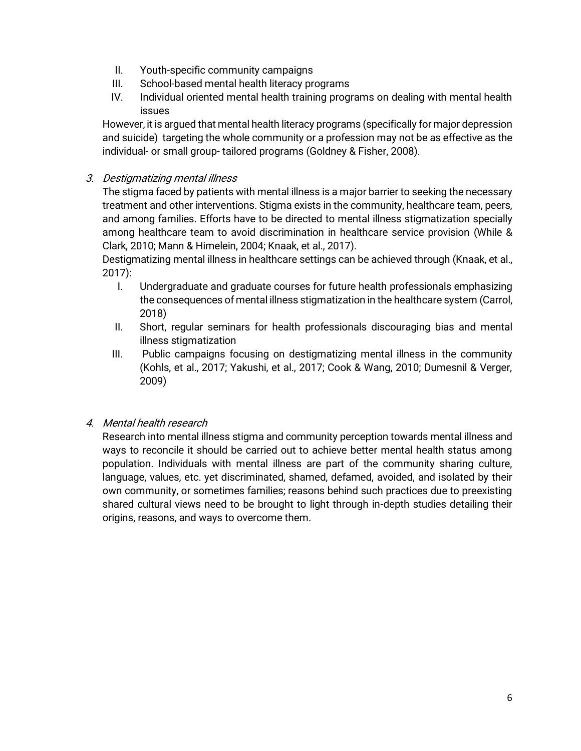- II. Youth-specific community campaigns
- III. School-based mental health literacy programs
- IV. Individual oriented mental health training programs on dealing with mental health issues

However, it is argued that mental health literacy programs (specifically for major depression and suicide) targeting the whole community or a profession may not be as effective as the individual- or small group- tailored programs (Goldney & Fisher, 2008).

## 3. Destigmatizing mental illness

The stigma faced by patients with mental illness is a major barrier to seeking the necessary treatment and other interventions. Stigma exists in the community, healthcare team, peers, and among families. Efforts have to be directed to mental illness stigmatization specially among healthcare team to avoid discrimination in healthcare service provision (While & Clark, 2010; Mann & Himelein, 2004; Knaak, et al., 2017).

Destigmatizing mental illness in healthcare settings can be achieved through (Knaak, et al., 2017):

- I. Undergraduate and graduate courses for future health professionals emphasizing the consequences of mental illness stigmatization in the healthcare system (Carrol, 2018)
- II. Short, regular seminars for health professionals discouraging bias and mental illness stigmatization
- III. Public campaigns focusing on destigmatizing mental illness in the community (Kohls, et al., 2017; Yakushi, et al., 2017; Cook & Wang, 2010; Dumesnil & Verger, 2009)

# 4. Mental health research

Research into mental illness stigma and community perception towards mental illness and ways to reconcile it should be carried out to achieve better mental health status among population. Individuals with mental illness are part of the community sharing culture, language, values, etc. yet discriminated, shamed, defamed, avoided, and isolated by their own community, or sometimes families; reasons behind such practices due to preexisting shared cultural views need to be brought to light through in-depth studies detailing their origins, reasons, and ways to overcome them.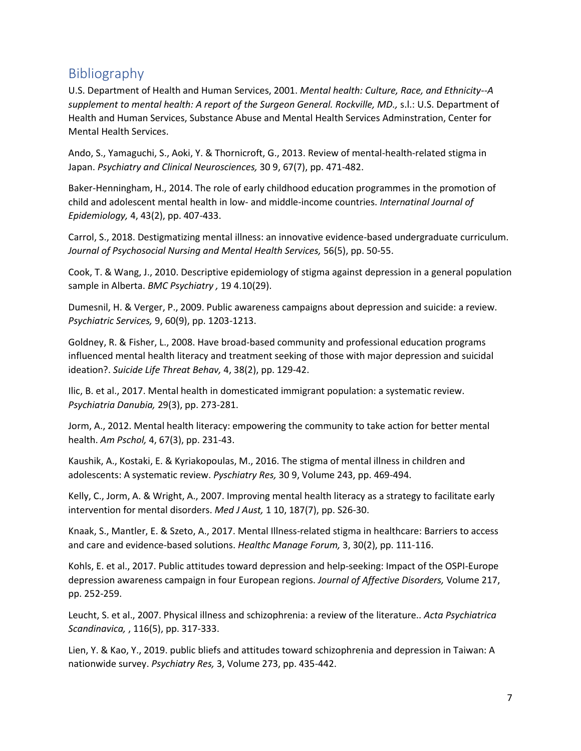# Bibliography

U.S. Department of Health and Human Services, 2001. *Mental health: Culture, Race, and Ethnicity--A*  supplement to mental health: A report of the Surgeon General. Rockville, MD., s.l.: U.S. Department of Health and Human Services, Substance Abuse and Mental Health Services Adminstration, Center for Mental Health Services.

Ando, S., Yamaguchi, S., Aoki, Y. & Thornicroft, G., 2013. Review of mental-health-related stigma in Japan. *Psychiatry and Clinical Neurosciences,* 30 9, 67(7), pp. 471-482.

Baker-Henningham, H., 2014. The role of early childhood education programmes in the promotion of child and adolescent mental health in low- and middle-income countries. *Internatinal Journal of Epidemiology,* 4, 43(2), pp. 407-433.

Carrol, S., 2018. Destigmatizing mental illness: an innovative evidence-based undergraduate curriculum. *Journal of Psychosocial Nursing and Mental Health Services,* 56(5), pp. 50-55.

Cook, T. & Wang, J., 2010. Descriptive epidemiology of stigma against depression in a general population sample in Alberta. *BMC Psychiatry ,* 19 4.10(29).

Dumesnil, H. & Verger, P., 2009. Public awareness campaigns about depression and suicide: a review. *Psychiatric Services,* 9, 60(9), pp. 1203-1213.

Goldney, R. & Fisher, L., 2008. Have broad-based community and professional education programs influenced mental health literacy and treatment seeking of those with major depression and suicidal ideation?. *Suicide Life Threat Behav,* 4, 38(2), pp. 129-42.

Ilic, B. et al., 2017. Mental health in domesticated immigrant population: a systematic review. *Psychiatria Danubia,* 29(3), pp. 273-281.

Jorm, A., 2012. Mental health literacy: empowering the community to take action for better mental health. *Am Pschol,* 4, 67(3), pp. 231-43.

Kaushik, A., Kostaki, E. & Kyriakopoulas, M., 2016. The stigma of mental illness in children and adolescents: A systematic review. *Pyschiatry Res,* 30 9, Volume 243, pp. 469-494.

Kelly, C., Jorm, A. & Wright, A., 2007. Improving mental health literacy as a strategy to facilitate early intervention for mental disorders. *Med J Aust,* 1 10, 187(7), pp. S26-30.

Knaak, S., Mantler, E. & Szeto, A., 2017. Mental Illness-related stigma in healthcare: Barriers to access and care and evidence-based solutions. *Healthc Manage Forum,* 3, 30(2), pp. 111-116.

Kohls, E. et al., 2017. Public attitudes toward depression and help-seeking: Impact of the OSPI-Europe depression awareness campaign in four European regions. *Journal of Affective Disorders,* Volume 217, pp. 252-259.

Leucht, S. et al., 2007. Physical illness and schizophrenia: a review of the literature.. *Acta Psychiatrica Scandinavica,* , 116(5), pp. 317-333.

Lien, Y. & Kao, Y., 2019. public bliefs and attitudes toward schizophrenia and depression in Taiwan: A nationwide survey. *Psychiatry Res,* 3, Volume 273, pp. 435-442.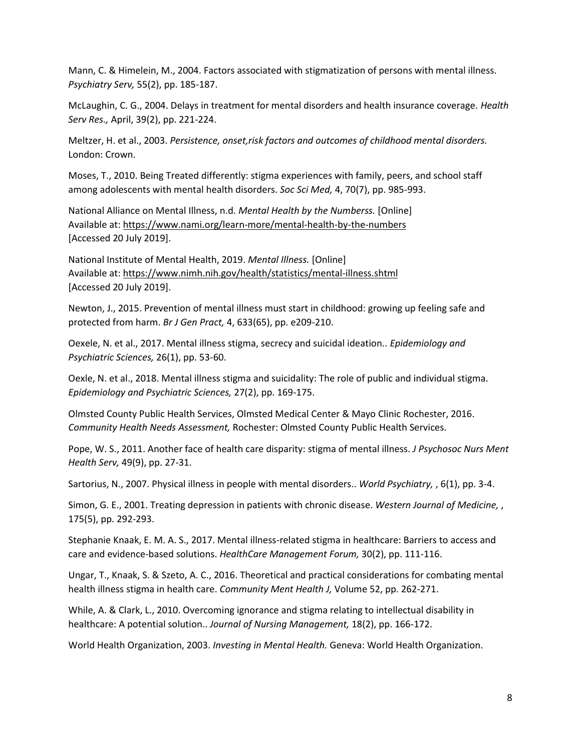Mann, C. & Himelein, M., 2004. Factors associated with stigmatization of persons with mental illness. *Psychiatry Serv,* 55(2), pp. 185-187.

McLaughin, C. G., 2004. Delays in treatment for mental disorders and health insurance coverage. *Health Serv Res.,* April, 39(2), pp. 221-224.

Meltzer, H. et al., 2003. *Persistence, onset,risk factors and outcomes of childhood mental disorders.*  London: Crown.

Moses, T., 2010. Being Treated differently: stigma experiences with family, peers, and school staff among adolescents with mental health disorders. *Soc Sci Med,* 4, 70(7), pp. 985-993.

National Alliance on Mental Illness, n.d. *Mental Health by the Numberss.* [Online] Available at: https://www.nami.org/learn-more/mental-health-by-the-numbers [Accessed 20 July 2019].

National Institute of Mental Health, 2019. *Mental Illness.* [Online] Available at: https://www.nimh.nih.gov/health/statistics/mental-illness.shtml [Accessed 20 July 2019].

Newton, J., 2015. Prevention of mental illness must start in childhood: growing up feeling safe and protected from harm. *Br J Gen Pract,* 4, 633(65), pp. e209-210.

Oexele, N. et al., 2017. Mental illness stigma, secrecy and suicidal ideation.. *Epidemiology and Psychiatric Sciences,* 26(1), pp. 53-60.

Oexle, N. et al., 2018. Mental illness stigma and suicidality: The role of public and individual stigma. *Epidemiology and Psychiatric Sciences,* 27(2), pp. 169-175.

Olmsted County Public Health Services, Olmsted Medical Center & Mayo Clinic Rochester, 2016. *Community Health Needs Assessment,* Rochester: Olmsted County Public Health Services.

Pope, W. S., 2011. Another face of health care disparity: stigma of mental illness. *J Psychosoc Nurs Ment Health Serv,* 49(9), pp. 27-31.

Sartorius, N., 2007. Physical illness in people with mental disorders.. *World Psychiatry,* , 6(1), pp. 3-4.

Simon, G. E., 2001. Treating depression in patients with chronic disease. *Western Journal of Medicine,* , 175(5), pp. 292-293.

Stephanie Knaak, E. M. A. S., 2017. Mental illness-related stigma in healthcare: Barriers to access and care and evidence-based solutions. *HealthCare Management Forum,* 30(2), pp. 111-116.

Ungar, T., Knaak, S. & Szeto, A. C., 2016. Theoretical and practical considerations for combating mental health illness stigma in health care. *Community Ment Health J,* Volume 52, pp. 262-271.

While, A. & Clark, L., 2010. Overcoming ignorance and stigma relating to intellectual disability in healthcare: A potential solution.. *Journal of Nursing Management,* 18(2), pp. 166-172.

World Health Organization, 2003. *Investing in Mental Health.* Geneva: World Health Organization.